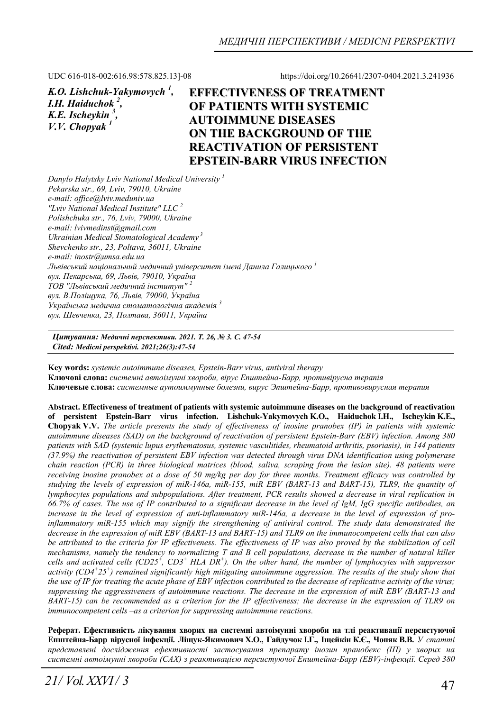UDC 616-018-002:616.98:578.825.13]-08 https://doi.org/10.26641/2307-0404.2021.3.241936

| K.O. Lishchuk-Yakymovych <sup>1</sup> , | <b>EFFEC</b> |
|-----------------------------------------|--------------|
| I.H. Haiduchok <sup>2</sup> ,           | <b>OF PA</b> |
| K.E. Ischeykin <sup>3</sup> ,           | <b>AUTO</b>  |
| V. V. Chopvak <sup>1</sup>              | <b>ON TH</b> |
|                                         | DE LA"       |

**EFFECTIVENESS OF TREATMENT OF PATIENTS WITH SYSTEMIC IMMUNE DISEASES ON THE BACKGROUND OF THE REACTIVATION OF PERSISTENT EPSTEIN-BARR VIRUS INFECTION**

*Danylo Halytsky Lviv National Medical University 1 Pekarska str., 69, Lviv, 79010, Ukraine e-mail: office@lviv.meduniv.ua "Lviv National Medical Institute" LLC 2 Polishchuka str., 76, Lviv, 79000, Ukraine e-mail: lvivmedinst@gmail.com Ukrainian Medical Stomatological Academy 3 Shevchenko str., 23, Poltava, 36011, Ukraine e-mail: inostr@umsa.edu.ua Львівський національний медичний університет імені Данила Галицького <sup>1</sup> вул. Пекарська, 69, Львів, 79010, Україна ТОВ "Львівський медичний інститут" <sup>2</sup> вул. В.Поліщука, 76, Львів, 79000, Україна Українська медична стоматологічна академія <sup>3</sup> вул. Шевченка, 23, Полтава, 36011, Україна*

*Цитування: Медичні перспективи. 2021. Т. 26, № 3. С. 47-54 Cited: Medicni perspektivi. 2021;26(3):47-54*

**Key words:** *systemic autoimmune diseases, Epstein-Barr virus, antiviral therapy*  **Ключові слова:** *системні автоімунні хвороби, вірус Епштейна-Барр, противірусна терапія* **Ключевые слова:** *системные аутоиммунные болезни, вирус Эпштейна-Барр, противовирусная терапия*

**Abstract. Effectiveness of treatment of patients with systemic autoimmune diseases on the background of reactivation of persistent Epstein-Barr virus infection. Lishchuk-Yakymovych K.O., Haiduchok I.H., Ischeykin K.E., Chopyak V.V.** *The article presents the study of effectiveness of inosine pranobex (IP) in patients with systemic autoimmune diseases (SAD) on the background of reactivation of persistent Epstein-Barr (EBV) infection. Among 380 patients with SAD (systemic lupus erythematosus, systemic vasculitides, rheumatoid arthritis, psoriasis), in 144 patients (37.9%) the reactivation of persistent EBV infection was detected through virus DNA identification using polymerase chain reaction (PCR) in three biological matrices (blood, saliva, scraping from the lesion site). 48 patients were receiving inosine pranobex at a dose of 50 mg/kg per day for three months. Treatment efficacy was controlled by studying the levels of expression of miR-146а, miR-155, miR EBV (BART-13 and BART-15), TLR9, the quantity of lymphocytes populations and subpopulations. After treatment, PCR results showed a decrease in viral replication in 66.7% of cases. The use of IP contributed to a significant decrease in the level of IgM, IgG specific antibodies, an increase in the level of expression of anti-inflammatory miR-146a, a decrease in the level of expression of proinflammatory miR-155 which may signify the strengthening of antiviral control. The study data demonstrated the decrease in the expression of miR EBV (BART-13 and BART-15) and TLR9 on the immunocompetent cells that can also be attributed to the criteria for IP effectiveness. The effectiveness of IP was also proved by the stabilization of cell mechanisms, namely the tendency to normalizing T and B cell populations, decrease in the number of natural killer*  cells and activated cells (CD25<sup>+</sup>, CD3<sup>+</sup> HLA DR<sup>+</sup>). On the other hand, the number of lymphocytes with suppressor *activity (CD4+ 25<sup>+</sup> ) remained significantly high mitigating autoimmune aggression. The results of the study show that the use of IP for treating the acute phase of EBV infection contributed to the decrease of replicative activity of the virus; suppressing the aggressiveness of autoimmune reactions. The decrease in the expression of miR EBV (BART-13 and BART-15)* can be recommended as a criterion for the IP effectiveness; the decrease in the expression of TLR9 on *immunocompetent cells –as a criterion for suppressing autoimmune reactions.* 

**Реферат. Ефективність лікування хворих на системні автоімунні хвороби на тлі реактивації персистуючої** Епштейна-Барр вірусної інфекції. Ліщук-Якимович Х.О., Гайдучок І.Г., Іщейкін К.Є., Чопяк В.В. У статті *представлені дослідження ефективності застосування препарату інозин пранобекс (ІП) у хворих на системні автоімунні хвороби (САХ) з реактивацією персистуючої Епштейна-Барр (EBV)-інфекції. Серед 380*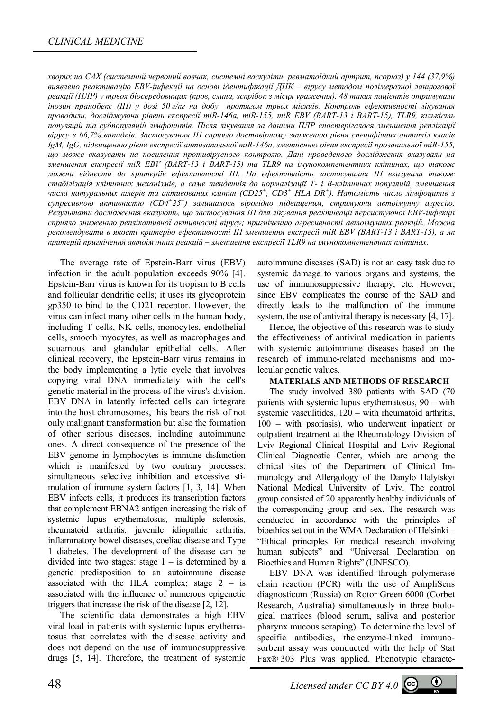хворих на САХ (системний червоний вовчак, системні васкуліти, ревматоїдний артрит, псоріаз) у 144 (37,9%) *виявлено реактивацію EBV-інфекції на основі ідентифікації ДНК – вірусу методом полімеразної ланцюгової* реакції (ПЛР) у трьох біосередовищах (кров, слина, зскрібок з місця ураження). 48 таких пацієнтів отримували інозин пранобекс (III) у дозі 50 г/кг на добу протягом трьох місяців. Контроль ефективності лікування *проводили, досліджуючи рівень експресії miR-146а, miR-155, miR EBV (BART-13 і BART-15), TLR9, кількість популяцій та субпопуляцій лімфоцитів. Після лікування за даними ПЛР спостерігалося зменшення реплікації вірусу в 66,7% випадків. Застосування ІП сприяло достовірному зниженню рівня специфічних антитіл класів IgM, IgG, підвищенню рівня експресії антизапальної miR-146а, зменшенню рівня експресії прозапальної miR-155, що може вказувати на посилення противірусного контролю. Дані проведеного дослідження вказували на зменшення експресії miR EBV (BART-13 і BART-15) та TLR9 на імунокомпетентних клітинах, що також можна віднести до критеріїв ефективності ІП. На ефективність застосування ІП вказували також* стабілізація клітинних механізмів, а саме тенденція до нормалізації Т- і В-клітинних популяцій, зменшення *числа натуральних кілерів та активованих клітин (CD25<sup>+</sup> , CD3<sup>+</sup> HLA DR<sup>+</sup> ). Натомість число лімфоцитів з супресивною активністю (CD4<sup>+</sup> 25<sup>+</sup> ) залишалось вірогідно підвищеним, стримуючи автоімунну агресію. Результати дослідження вказують, що застосування ІП для лікування реактивації персистуючої EBV-інфекції сприяло зниженню реплікативної активності вірусу; пригніченню агресивності автоімунних реакцій. Можна рекомендувати в якості критерію ефективності ІП зменшення експресії miR EBV (BART-13 і BART-15), а як критерій пригнічення автоімунних реакцій – зменшення експресії TLR9 на імунокомпетентних клітинах.* 

The average rate of Epstein-Barr virus (EBV) infection in the adult population exceeds 90% [4]. Epstein-Barr virus is known for its tropism to B cells and follicular dendritic cells; it uses its glycoprotein gp350 to bind to the CD21 receptor. However, the virus can infect many other cells in the human body, including T cells, NK cells, monocytes, endothelial cells, smooth myocytes, as well as macrophages and squamous and glandular epithelial cells. After clinical recovery, the Epstein-Barr virus remains in the body implementing a lytic cycle that involves copying viral DNA immediately with the cell's genetic material in the process of the virus's division. EBV DNA in latently infected cells can integrate into the host chromosomes, this bears the risk of not only malignant transformation but also the formation of other serious diseases, including autoimmune ones. A direct consequence of the presence of the EBV genome in lymphocytes is immune disfunction which is manifested by two contrary processes: simultaneous selective inhibition and excessive stimulation of immune system factors [1, 3, 14]. When EBV infects cells, it produces its transcription factors that complement EBNA2 antigen increasing the risk of systemic lupus erythematosus, multiple sclerosis, rheumatoid arthritis, juvenile idiopathic arthritis, inflammatory bowel diseases, coeliac disease and Type 1 diabetes. The development of the disease can be divided into two stages: stage  $1 -$  is determined by a genetic predisposition to an autoimmune disease associated with the HLA complex; stage  $2 - is$ associated with the influence of numerous epigenetic triggers that increase the risk of the disease [2, 12].

The scientific data demonstrates a high EBV viral load in patients with systemic lupus erythematosus that correlates with the disease activity and does not depend on the use of immunosuppressive drugs [5, 14]. Therefore, the treatment of systemic

autoimmune diseases (SAD) is not an easy task due to systemic damage to various organs and systems, the use of immunosuppressive therapy, etc. However, since EBV complicates the course of the SAD and directly leads to the malfunction of the immune system, the use of antiviral therapy is necessary [4, 17].

Hence, the objective of this research was to study the effectiveness of antiviral medication in patients with systemic autoimmune diseases based on the research of immune-related mechanisms and molecular genetic values.

#### **MATERIALS AND METHODS OF RESEARCH**

The study involved 380 patients with SAD (70 patients with systemic lupus erythematosus, 90 – with systemic vasculitides, 120 – with rheumatoid arthritis, 100 – with psoriasis), who underwent inpatient or outpatient treatment at the Rheumatology Division of Lviv Regional Clinical Hospital and Lviv Regional Clinical Diagnostic Center, which are among the clinical sites of the Department of Clinical Immunology and Allergology of the Danylo Halytskyi National Medical University of Lviv. The control group consisted of 20 apparently healthy individuals of the corresponding group and sex. The research was conducted in accordance with the principles of bioethics set out in the WMA Declaration of Helsinki – "Ethical principles for medical research involving human subjects" and "Universal Declaration on Bioethics and Human Rights" (UNESCO).

EBV DNA was identified through polymerase chain reaction (PCR) with the use of AmpliSens diagnosticum (Russia) on Rotor Green 6000 (Corbet Research, Australia) simultaneously in three biological matrices (blood serum, saliva and posterior pharynx mucous scraping). To determine the level of specific antibodies, the enzyme-linked immunosorbent assay was conducted with the help of Stat Fax® 303 Plus was applied. Phenotypic characte-

48 *Licensed under CC BY 4.0* 

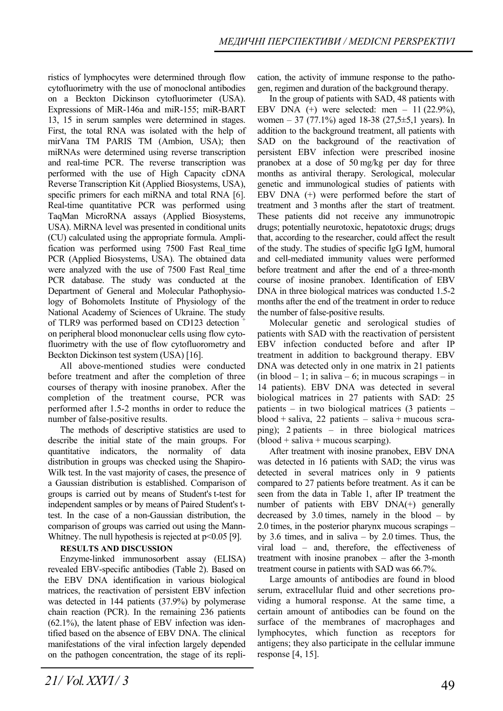ristics of lymphocytes were determined through flow cytofluorimetry with the use of monoclonal antibodies on a Beckton Dickinson cytofluorimeter (USA). Expressions of MiR-146а and miR-155; miR-BART 13, 15 in serum samples were determined in stages. First, the total RNA was isolated with the help of mirVana TM PARIS TM (Ambion, USA); then miRNAs were determined using reverse transcription and real-time PCR. The reverse transcription was performed with the use of High Capacity cDNA Reversе Transcription Kit (Applied Biosystems, USA), specific primers for each miRNA and total RNA [6]. Real-time quantitative PCR was performed using TaqMan MicroRNA assays (Applied Biosystems, USA). MiRNA level was presented in conditional units (CU) calculated using the appropriate formula. Amplification was performed using 7500 Fast Real\_time PCR (Applied Biosystems, USA). The obtained data were analyzed with the use of 7500 Fast Real time PCR database. The study was conducted at the Department of General and Molecular Pathophysiology of Bohomolets Institute of Physiology of the National Academy of Sciences of Ukraine. The study of TLR9 was performed based on CD123 detection <sup>+</sup> on peripheral blood mononuclear cells using flow cytofluorimetry with the use of flow cytofluorometry and Beckton Dickinson test system (USA) [16].

All above-mentioned studies were conducted before treatment and after the completion of three courses of therapy with inosine pranobex. After the completion of the treatment course, PCR was performed after 1.5-2 months in order to reduce the number of false-positive results.

The methods of descriptive statistics are used to describe the initial state of the main groups. For quantitative indicators, the normality of data distribution in groups was checked using the Shapiro-Wilk test. In the vast majority of cases, the presence of a Gaussian distribution is established. Comparison of groups is carried out by means of Student's t-test for independent samples or by means of Paired Student's ttest. In the case of a non-Gaussian distribution, the comparison of groups was carried out using the Mann-Whitney. The null hypothesis is rejected at  $p<0.05$  [9].

#### **RESULTS AND DISCUSSION**

Enzyme-linked immunosorbent assay (ELISA) revealed EBV-specific antibodies (Table 2). Based on the EBV DNA identification in various biological matrices, the reactivation of persistent EBV infection was detected in 144 patients (37.9%) by polymerase chain reaction (PCR). In the remaining 236 patients  $(62.1\%)$ , the latent phase of EBV infection was identified based on the absence of EBV DNA. The clinical manifestations of the viral infection largely depended on the pathogen concentration, the stage of its replication, the activity of immune response to the pathogen, regimen and duration of the background therapy.

In the group of patients with SAD, 48 patients with EBV DNA  $(+)$  were selected: men – 11 (22.9%), women – 37 (77.1%) aged 18-38 (27,5 $\pm$ 5,1 years). In addition to the background treatment, all patients with SAD on the background of the reactivation of persistent EBV infection were prescribed inosine pranobex at a dose of 50 mg/kg per day for three months as antiviral therapy. Serological, molecular genetic and immunological studies of patients with EBV DNA (+) were performed before the start of treatment and 3 months after the start of treatment. These patients did not receive any immunotropic drugs; potentially neurotoxic, hepatotoxic drugs; drugs that, according to the researcher, could affect the result of the study. The studies of specific IgG IgM, humoral and cell-mediated immunity values were performed before treatment and after the end of a three-month course of inosine pranobex. Identification of EBV DNA in three biological matrices was conducted 1.5-2 months after the end of the treatment in order to reduce the number of false-positive results.

Molecular genetic and serological studies of patients with SAD with the reactivation of persistent EBV infection conducted before and after IP treatment in addition to background therapy. EBV DNA was detected only in one matrix in 21 patients  $(in blood - 1; in saliva - 6; in mucous scrapings - in$ 14 patients). EBV DNA was detected in several biological matrices in 27 patients with SAD: 25 patients – in two biological matrices (3 patients –  $blood + saliva$ , 22 patients – saliva + mucous scraping); 2 patients – in three biological matrices  $(blood + saliva + mucous scarping).$ 

After treatment with inosine pranobex, EBV DNA was detected in 16 patients with SAD; the virus was detected in several matrices only in 9 patients compared to 27 patients before treatment. As it can be seen from the data in Table 1, after IP treatment the number of patients with EBV DNA(+) generally decreased by  $3.0$  times, namely in the blood – by 2.0 times, in the posterior pharynx mucous scrapings – by 3.6 times, and in saliva – by 2.0 times. Thus, the viral load – and, therefore, the effectiveness of treatment with inosine pranobex – after the 3-month treatment course in patients with SAD was 66.7%.

Large amounts of antibodies are found in blood serum, extracellular fluid and other secretions providing a humoral response. At the same time, a certain amount of antibodies can be found on the surface of the membranes of macrophages and lymphocytes, which function as receptors for antigens; they also participate in the cellular immune response [4, 15].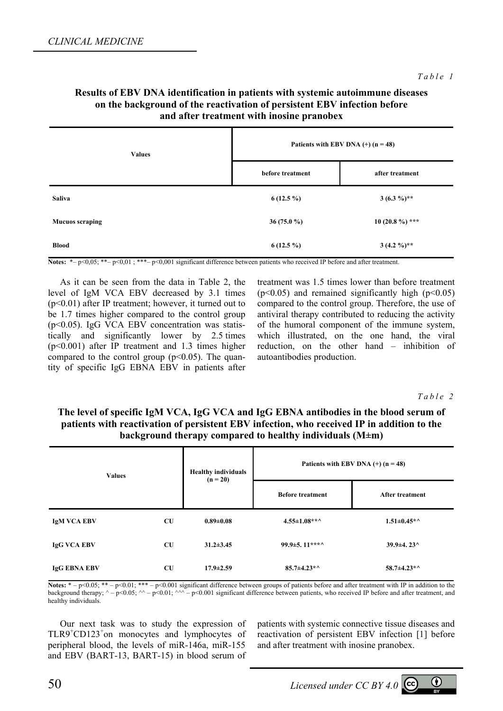## **Results of EBV DNA identification in patients with systemic autoimmune diseases on the background of the reactivation of persistent EBV infection before and after treatment with inosine pranobex**

| <b>Values</b>          | Patients with EBV DNA $(+)$ (n = 48) |                  |  |
|------------------------|--------------------------------------|------------------|--|
|                        | before treatment                     | after treatment  |  |
| Saliva                 | $6(12.5\%)$                          | $3(6.3\%)**$     |  |
| <b>Mucuos scraping</b> | 36 (75.0 $%$ )                       | $10(20.8\%)$ *** |  |
| <b>Blood</b>           | $6(12.5\%)$                          | $3(4.2\%)**$     |  |

Notes: \*– p<0,05; \*\*– p<0,01; \*\*\*– p<0,001 significant difference between patients who received IP before and after treatment.

As it can be seen from the data in Table 2, the level of IgМ VCA EBV decreased by 3.1 times (р<0.01) after IP treatment; however, it turned out to be 1.7 times higher compared to the control group  $(p<0.05)$ . IgG VCA EBV concentration was statistically and significantly lower by 2.5 times (р<0.001) after IP treatment and 1.3 times higher compared to the control group ( $p<0.05$ ). The quantity of specific IgG EBNA EBV in patients after treatment was 1.5 times lower than before treatment  $(p<0.05)$  and remained significantly high  $(p<0.05)$ compared to the control group. Therefore, the use of antiviral therapy contributed to reducing the activity of the humoral component of the immune system, which illustrated, on the one hand, the viral reduction, on the other hand – inhibition of autoantibodies production.

*Table 2* 

# **The level of specific IgМ VCA, IgG VCA and IgG EBNA antibodies in the blood serum of patients with reactivation of persistent EBV infection, who received IP in addition to the background therapy compared to healthy individuals (M±m)**

| <b>Values</b>       |           | <b>Healthy individuals</b><br>$(n = 20)$ | Patients with EBV DNA $(+)$ (n = 48) |                        |
|---------------------|-----------|------------------------------------------|--------------------------------------|------------------------|
|                     |           |                                          | <b>Before treatment</b>              | <b>After treatment</b> |
| <b>IgM VCA EBV</b>  | <b>CU</b> | $0.89 + 0.08$                            | $4.55 \pm 1.08$ **^                  | $1.51 \pm 0.45$ *^     |
| <b>IgG VCA EBV</b>  | CU        | $31.2 \pm 3.45$                          | 99.9 $\pm$ 5. 11***^                 | $39.9 \pm 4.23$        |
| <b>IgG EBNA EBV</b> | <b>CU</b> | $17.9 \pm 2.59$                          | $85.7 \pm 4.23$ *^                   | $58.7 \pm 4.23$ *^     |

**Notes:**  $* - p < 0.05$ ;  $** - p < 0.01$ ;  $*** - p < 0.001$  significant difference between groups of patients before and after treatment with IP in addition to the background therapy;  $\land$  –  $p<0.05$ ;  $\land\land$  –  $p<0.01$ ;  $\land\land\land$  –  $p<0.001$  significant difference between patients, who received IP before and after treatment, and healthy individuals.

Our next task was to study the expression of TLR9<sup>+</sup>CD123<sup>+</sup>on monocytes and lymphocytes of peripheral blood, the levels of miR-146а, miR-155 and EBV (BART-13, BART-15) in blood serum of

patients with systemic connective tissue diseases and reactivation of persistent EBV infection [1] before and after treatment with inosine pranobex.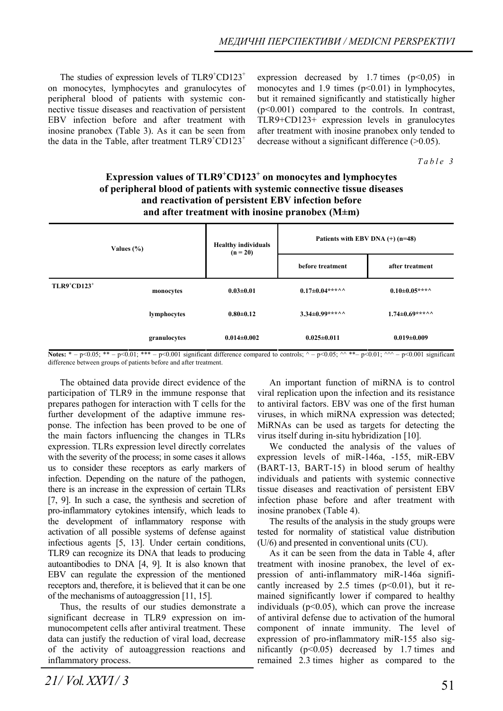The studies of expression levels of  $TLR9<sup>+</sup>CD123<sup>+</sup>$ on monocytes, lymphocytes and granulocytes of peripheral blood of patients with systemic connective tissue diseases and reactivation of persistent EBV infection before and after treatment with inosine pranobex (Table 3). As it can be seen from the data in the Table, after treatment  $TLR9<sup>+</sup>CD123<sup>+</sup>$ 

expression decreased by 1.7 times  $(p<0.05)$  in monocytes and 1.9 times  $(p<0.01)$  in lymphocytes, but it remained significantly and statistically higher  $(p<0.001)$  compared to the controls. In contrast, TLR9+CD123+ expression levels in granulocytes after treatment with inosine pranobex only tended to decrease without a significant difference (>0.05).

*Table 3* 

# **Expression values of TLR9<sup>+</sup> CD123<sup>+</sup> on monocytes and lymphocytes of peripheral blood of patients with systemic connective tissue diseases and reactivation of persistent EBV infection before and after treatment with inosine pranobex (M±m)**

| Values $(\% )$ |              | <b>Healthy individuals</b><br>$(n = 20)$ | Patients with EBV DNA $(+)$ (n=48) |                       |
|----------------|--------------|------------------------------------------|------------------------------------|-----------------------|
|                |              | before treatment                         |                                    | after treatment       |
| $TLR9+CD123+$  | monocytes    | $0.03 \pm 0.01$                          | $0.17 \pm 0.04$ ***^^              | $0.10\pm0.05***$      |
|                | lymphocytes  | $0.80 \pm 0.12$                          | $3.34 \pm 0.99$ ***^^              | $1.74 \pm 0.69$ ***^^ |
|                | granulocytes | $0.014 \pm 0.002$                        | $0.025 \pm 0.011$                  | $0.019 \pm 0.009$     |

Notes: \*  $-p<0.05$ ; \*\*  $-p<0.01$ ; \*\*\*  $-p<0.001$  significant difference compared to controls; ^  $-p<0.05$ ; ^^ \*\* $-p<0.01$ ; ^^^  $-p<0.001$  significant difference between groups of patients before and after treatment.

The obtained data provide direct evidence of the participation of TLR9 in the immune response that prepares pathogen for interaction with T cells for the further development of the adaptive immune response. The infection has been proved to be one of the main factors influencing the changes in TLRs expression. TLRs expression level directly correlates with the severity of the process; in some cases it allows us to consider these receptors as early markers of infection. Depending on the nature of the pathogen, there is an increase in the expression of certain TLRs [7, 9]. In such a case, the synthesis and secretion of pro-inflammatory cytokines intensify, which leads to the development of inflammatory response with activation of all possible systems of defense against infectious agents [5, 13]. Under certain conditions, TLR9 can recognize its DNA that leads to producing autoantibodies to DNA [4, 9]. It is also known that EBV can regulate the expression of the mentioned receptors and, therefore, it is believed that it can be one of the mechanisms of autoaggression [11, 15].

Thus, the results of our studies demonstrate a significant decrease in TLR9 expression on immunocompetent cells after antiviral treatment. These data can justify the reduction of viral load, decrease of the activity of autoaggression reactions and inflammatory process.

An important function of miRNA is to control viral replication upon the infection and its resistance to antiviral factors. EBV was one of the first human viruses, in which miRNA expression was detected; MiRNAs can be used as targets for detecting the virus itself during in-situ hybridization [10].

We conducted the analysis of the values of expression levels of miR-146а, -155, miR-EBV (BART-13, BART-15) in blood serum of healthy individuals and patients with systemic connective tissue diseases and reactivation of persistent EBV infection phase before and after treatment with inosine pranobex (Table 4).

The results of the analysis in the study groups were tested for normality of statistical value distribution (U/6) and presented in conventional units (CU).

As it can be seen from the data in Table 4, after treatment with inosine pranobex, the level of expression of anti-inflammatory miR-146а significantly increased by 2.5 times  $(p<0.01)$ , but it remained significantly lower if compared to healthy individuals ( $p<0.05$ ), which can prove the increase of antiviral defense due to activation of the humoral component of innate immunity. The level of expression of pro-inflammatory miR-155 also significantly  $(p<0.05)$  decreased by 1.7 times and remained 2.3 times higher as compared to the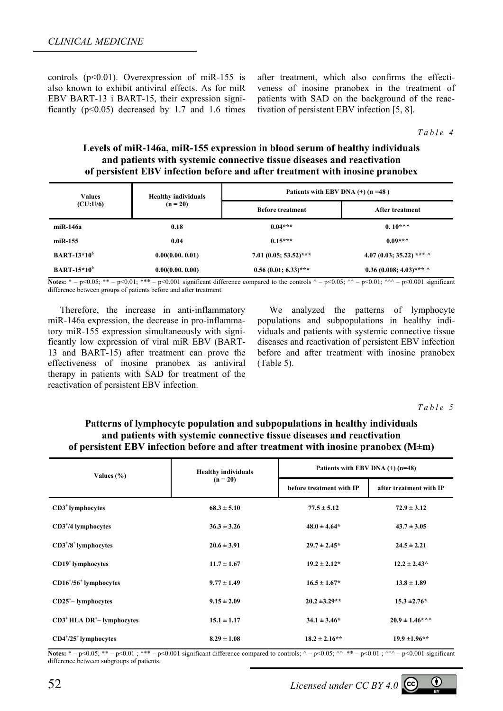controls ( $p<0.01$ ). Overexpression of miR-155 is also known to exhibit antiviral effects. As for miR EBV BART-13 і BART-15, their expression significantly  $(p<0.05)$  decreased by 1.7 and 1.6 times after treatment, which also confirms the effectiveness of inosine pranobex in the treatment of patients with SAD on the background of the reactivation of persistent EBV infection [5, 8].

*Table 4* 

## **Levels of miR-146а, miR-155 expression in blood serum of healthy individuals and patients with systemic connective tissue diseases and reactivation of persistent EBV infection before and after treatment with inosine pranobex**

| <b>Values</b><br>(CU:U/6)     | <b>Healthy individuals</b><br>$(n = 20)$ | Patients with EBV DNA $(+)$ (n =48) |                           |  |
|-------------------------------|------------------------------------------|-------------------------------------|---------------------------|--|
|                               |                                          | <b>Before treatment</b>             | After treatment           |  |
| miR-146a                      | 0.18                                     | $0.04***$                           | $0.10***$                 |  |
| $m$ i R $-155$                | 0.04                                     | $0.15***$                           | $0.09***$                 |  |
| <b>BART-13*10<sup>6</sup></b> | 0.00(0.00.0.01)                          | $7.01~(0.05; 53.52)$ ***            | 4.07 (0.03; 35.22) *** ^  |  |
| $BART-15*10^6$                | 0.00(0.00, 0.00)                         | $0.56(0.01; 6.33)$ ***              | $0.36(0.008; 4.03)$ *** ^ |  |

**Notes:**  $* - p \le 0.05$ ;  $** - p \le 0.01$ ;  $*** - p \le 0.001$  significant difference compared to the controls  $\land - p \le 0.05$ ;  $\land \land - p \le 0.01$ ;  $\land \land \land - p \le 0.001$  significant difference between groups of patients before and after treatment.

Therefore, the increase in anti-inflammatory miR-146а expression, the decrease in pro-inflammatory miR-155 expression simultaneously with significantly low expression of viral miR EBV (BART-13 and BART-15) after treatment can prove the effectiveness of inosine pranobex as antiviral therapy in patients with SAD for treatment of the reactivation of persistent EBV infection.

We analyzed the patterns of lymphocyte populations and subpopulations in healthy individuals and patients with systemic connective tissue diseases and reactivation of persistent EBV infection before and after treatment with inosine pranobex (Table 5).

*Table 5* 

# **Patterns of lymphocyte population and subpopulations in healthy individuals and patients with systemic connective tissue diseases and reactivation of persistent EBV infection before and after treatment with inosine pranobex (М±m)**

| Values $(\% )$                            | <b>Healthy individuals</b> | Patients with EBV DNA $(+)$ (n=48) |                                                |  |
|-------------------------------------------|----------------------------|------------------------------------|------------------------------------------------|--|
|                                           | $(n = 20)$                 | before treatment with IP           | after treatment with IP                        |  |
| $CD3+$ lymphocytes                        | $68.3 \pm 5.10$            | $77.5 \pm 5.12$                    | $72.9 \pm 3.12$                                |  |
| $CD3^+/4$ lymphocytes                     | $36.3 \pm 3.26$            | $48.0 \pm 4.64*$                   | $43.7 \pm 3.05$                                |  |
| $CD3^+/8^+$ lymphocytes                   | $20.6 \pm 3.91$            | $29.7 \pm 2.45^*$                  | $24.5 \pm 2.21$                                |  |
| $CD19+$ lymphocytes                       | $11.7 \pm 1.67$            | $19.2 \pm 2.12^*$                  | $12.2 \pm 2.43$ <sup><math>\wedge</math></sup> |  |
| $CD16^{+}/56^{+}$ lymphocytes             | $9.77 \pm 1.49$            | $16.5 \pm 1.67^*$                  | $13.8 \pm 1.89$                                |  |
| $CD25^+$ - lymphocytes                    | $9.15 \pm 2.09$            | $20.2 \pm 3.29**$                  | $15.3 \pm 2.76^*$                              |  |
| $CD3^+$ HLA DR <sup>+</sup> - lymphocytes | $15.1 \pm 1.17$            | $34.1 \pm 3.46^*$                  | $20.9 \pm 1.46$ *^^                            |  |
| $CD4^+/25^+$ lymphocytes                  | $8.29 \pm 1.08$            | $18.2 \pm 2.16$ **                 | $19.9 \pm 1.96$ **                             |  |

Notes:  $* - p \le 0.05$ ;  $** - p \le 0.01$ ;  $*** - p \le 0.001$  significant difference compared to controls;  $\land - p \le 0.05$ ;  $\land^* ** - p \le 0.01$ ;  $\land^* \land - p \le 0.001$  significant difference between subgroups of patients.

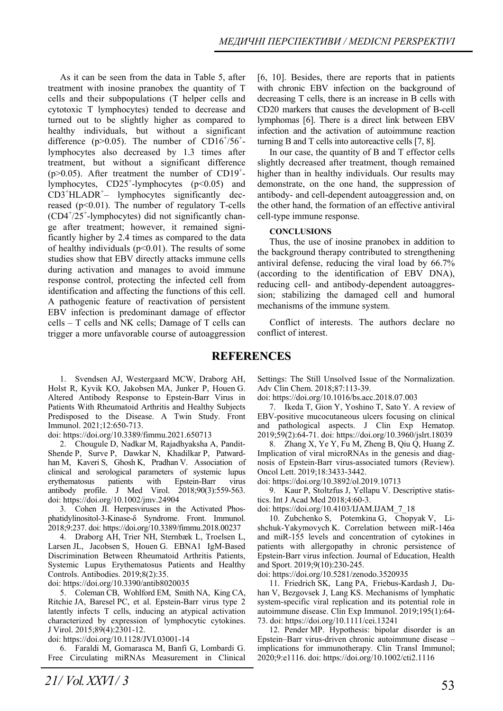As it can be seen from the data in Table 5, after treatment with inosine pranobex the quantity of T cells and their subpopulations (T helper cells and cytotoxic T lymphocytes) tended to decrease and turned out to be slightly higher as compared to healthy individuals, but without a significant difference ( $p$ >0.05). The number of CD16<sup>+</sup>/56<sup>+</sup>lymphocytes also decreased by 1.3 times after treatment, but without a significant difference (p $>0.05$ ). After treatment the number of CD19<sup>+</sup>lymphocytes, CD25<sup>+</sup>-lymphocytes (p<0.05) and  $CD3+HLADR<sup>+</sup>$  lymphocytes significantly decreased ( $p<0.01$ ). The number of regulatory T-cells  $(CD4<sup>+/25<sup>+</sup></sup>$ -lymphocytes) did not significantly change after treatment; however, it remained significantly higher by 2.4 times as compared to the data of healthy individuals ( $p<0.01$ ). The results of some studies show that EBV directly attacks immune cells during activation and manages to avoid immune response control, protecting the infected cell from identification and affecting the functions of this cell. A pathogenic feature of reactivation of persistent EBV infection is predominant damage of effector cells – T cells and NK cells; Damage of T cells can trigger a more unfavorable course of autoaggression

[6, 10]. Besides, there are reports that in patients with chronic EBV infection on the background of decreasing T cells, there is an increase in B cells with CD20 markers that causes the development of B-cell lymphomas [6]. There is a direct link between EBV infection and the activation of autoimmune reaction turning B and T cells into autoreactive cells [7, 8].

In our case, the quantity of B and T effector cells slightly decreased after treatment, though remained higher than in healthy individuals. Our results may demonstrate, on the one hand, the suppression of antibody- and cell-dependent autoaggression and, on the other hand, the formation of an effective antiviral cell-type immune response.

#### **CONCLUSIONS**

Thus, the use of inosine pranobex in addition to the background therapy contributed to strengthening antiviral defense, reducing the viral load by 66.7% (according to the identification of EBV DNA), reducing cell- and antibody-dependent autoaggression; stabilizing the damaged cell and humoral mechanisms of the immune system.

Conflict of interests. The authors declare no conflict of interest.

## **REFERENCES**

1. Svendsen AJ, Westergaard MCW, Draborg AH, Holst R, Kyvik KO, Jakobsen MA, Junker P, Houen G. Altered Antibody Response to Epstein-Barr Virus in Patients With Rheumatoid Arthritis and Healthy Subjects Predisposed to the Disease. A Twin Study. Front Immunol. 2021;12:650-713.

doi: https://doi.org/10.3389/fimmu.2021.650713

2. Chougule D, Nadkar M, Rajadhyaksha A, Pandit-Shende P, Surve P, Dawkar N, Khadilkar P, Patwardhan M, Kaveri S, Ghosh K, Pradhan V. Association of clinical and serological parameters of systemic lupus erythematosus patients with Epstein-Barr virus antibody profile. J Med Virol. 2018;90(3):559-563. doi: https://doi.org/10.1002/jmv.24904

3. Cohen JI. Herpesviruses in the Activated Phosphatidylinositol-3-Kinase-δ Syndrome. Front. Immunol. 2018;9:237. doi: https://doi.org/10.3389/fimmu.2018.00237

4. Draborg AH, Trier NH, Sternbæk L, Troelsen L, Larsen JL, Jacobsen S, Houen G. EBNA1 IgM-Based Discrimination Between Rheumatoid Arthritis Patients, Systemic Lupus Erythematosus Patients and Healthy Controls. Antibodies. 2019;8(2):35.

doi: https://doi.org/10.3390/antib8020035

5. Coleman CB, Wohlford EM, Smith NA, King CA, Ritchie JA, Baresel PC, et al. Epstein-Barr virus type 2 latently infects T cells, inducing an atypical activation characterized by expression of lymphocytic cytokines. J Virol. 2015;89(4):2301-12.

doi: https://doi.org/10.1128/JVI.03001-14

6. Faraldi M, Gomarasca M, Banfi G, Lombardi G. Free Circulating miRNAs Measurement in Clinical Settings: The Still Unsolved Issue of the Normalization. Adv Clin Chem. 2018;87:113-39.

doi: https://doi.org/10.1016/bs.acc.2018.07.003

7. Ikeda T, Gion Y, Yoshino T, Sato Y. A review of EBV-positive mucocutaneous ulcers focusing on clinical and pathological aspects. J Clin Exp Hematop. 2019;59(2):64-71. doi: https://doi.org/10.3960/jslrt.18039

8. Zhang X, Ye Y, Fu M, Zheng B, Qiu Q, Huang Z. Implication of viral microRNAs in the genesis and diagnosis of Epstein-Barr virus-associated tumors (Review). Oncol Lett. 2019;18:3433-3442.

doi: https://doi.org/10.3892/ol.2019.10713

9. Kaur P, Stoltzfus J, Yellapu V. Descriptive statistics. Int J Acad Med 2018;4:60-3.

doi: https://doi.org/10.4103/IJAM.IJAM\_7\_18

10. Zubchenko S, Potemkina G, Chopyak V, Lishchuk-Yakymovych K. Correlation between miR-146a and miR-155 levels and concentration of cytokines in patients with allergopathy in chronic persistence of Epstein-Barr virus infection. Journal of Education, Health and Sport. 2019;9(10):230-245.

doi: https://doi.org/10.5281/zenodo.3520935

11. Friedrich SK, Lang PA, Friebus-Kardash J, Duhan V, Bezgovsek J, Lang KS. Mechanisms of lymphatic system-specific viral replication and its potential role in autoimmune disease. Clin Exp Immunol. 2019;195(1):64- 73. doi: https://doi.org/10.1111/cei.13241

12. Pender MP. Hypothesis: bipolar disorder is an Epstein–Barr virus‐driven chronic autoimmune disease – implications for immunotherapy. Clin Transl Immunol; 2020;9:e1116. doi: https://doi.org/10.1002/cti2.1116